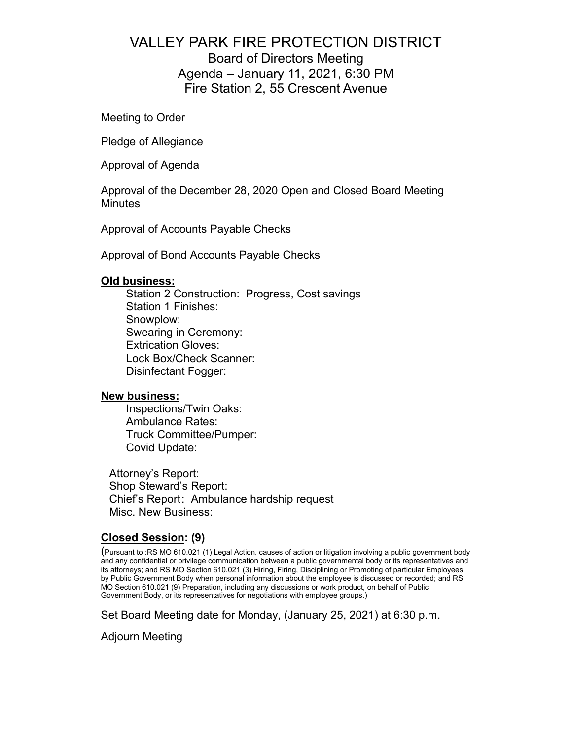## VALLEY PARK FIRE PROTECTION DISTRICT Board of Directors Meeting Agenda – January 11, 2021, 6:30 PM Fire Station 2, 55 Crescent Avenue

Meeting to Order

Pledge of Allegiance

Approval of Agenda

Approval of the December 28, 2020 Open and Closed Board Meeting **Minutes** 

Approval of Accounts Payable Checks

Approval of Bond Accounts Payable Checks

## **Old business:**

Station 2 Construction: Progress, Cost savings Station 1 Finishes: Snowplow: Swearing in Ceremony: Extrication Gloves: Lock Box/Check Scanner: Disinfectant Fogger:

## **New business:**

Inspections/Twin Oaks: Ambulance Rates: Truck Committee/Pumper: Covid Update:

Attorney's Report: Shop Steward's Report: Chief's Report : Ambulance hardship request Misc. New Business:

## **Closed Session: (9)**

(Pursuant to :RS MO 610.021 (1) Legal Action, causes of action or litigation involving a public government body and any confidential or privilege communication between a public governmental body or its representatives and its attorneys; and RS MO Section 610.021 (3) Hiring, Firing, Disciplining or Promoting of particular Employees by Public Government Body when personal information about the employee is discussed or recorded; and RS MO Section 610.021 (9) Preparation, including any discussions or work product, on behalf of Public Government Body, or its representatives for negotiations with employee groups.)

Set Board Meeting date for Monday, (January 25, 2021) at 6:30 p.m.

Adjourn Meeting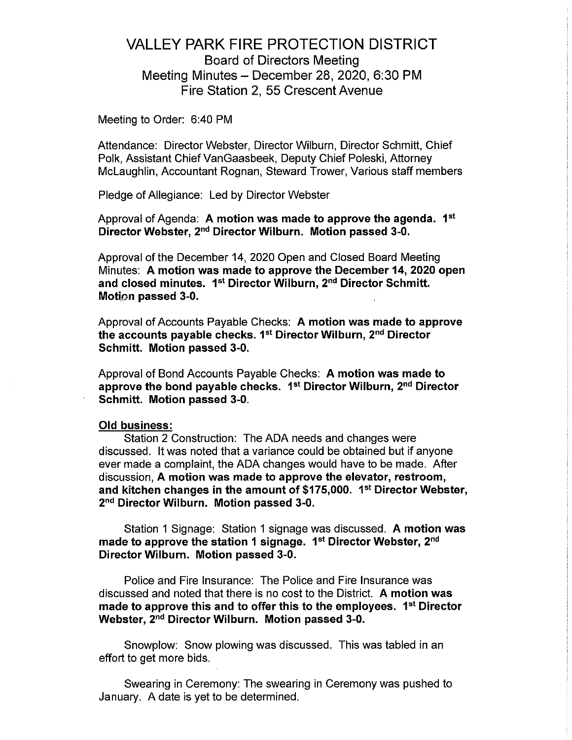## **VALLEY PARK FIRE PROTECTION DISTRICT Board of Directors Meeting** Meeting Minutes - December 28, 2020, 6:30 PM Fire Station 2, 55 Crescent Avenue

Meeting to Order: 6:40 PM

Attendance: Director Webster, Director Wilburn, Director Schmitt, Chief Polk, Assistant Chief VanGaasbeek, Deputy Chief Poleski, Attorney McLaughlin, Accountant Rognan, Steward Trower, Various staff members

Pledge of Allegiance: Led by Director Webster

Approval of Agenda: A motion was made to approve the agenda. 1<sup>st</sup> Director Webster, 2<sup>nd</sup> Director Wilburn. Motion passed 3-0.

Approval of the December 14, 2020 Open and Closed Board Meeting Minutes: A motion was made to approve the December 14, 2020 open and closed minutes. 1<sup>st</sup> Director Wilburn, 2<sup>nd</sup> Director Schmitt. Motion passed 3-0.

Approval of Accounts Payable Checks: A motion was made to approve the accounts payable checks. 1<sup>st</sup> Director Wilburn, 2<sup>nd</sup> Director Schmitt. Motion passed 3-0.

Approval of Bond Accounts Payable Checks: A motion was made to approve the bond payable checks. 1<sup>st</sup> Director Wilburn, 2<sup>nd</sup> Director Schmitt. Motion passed 3-0.

#### **Old business:**

Station 2 Construction: The ADA needs and changes were discussed. It was noted that a variance could be obtained but if anyone ever made a complaint, the ADA changes would have to be made. After discussion. A motion was made to approve the elevator, restroom, and kitchen changes in the amount of \$175,000. 1<sup>st</sup> Director Webster, 2<sup>nd</sup> Director Wilburn. Motion passed 3-0.

Station 1 Signage: Station 1 signage was discussed. A motion was made to approve the station 1 signage. 1<sup>st</sup> Director Webster, 2<sup>nd</sup> Director Wilburn. Motion passed 3-0.

Police and Fire Insurance: The Police and Fire Insurance was discussed and noted that there is no cost to the District. A motion was made to approve this and to offer this to the employees. 1<sup>st</sup> Director Webster, 2<sup>nd</sup> Director Wilburn. Motion passed 3-0.

Snowplow: Snow plowing was discussed. This was tabled in an effort to get more bids.

Swearing in Ceremony: The swearing in Ceremony was pushed to January. A date is yet to be determined.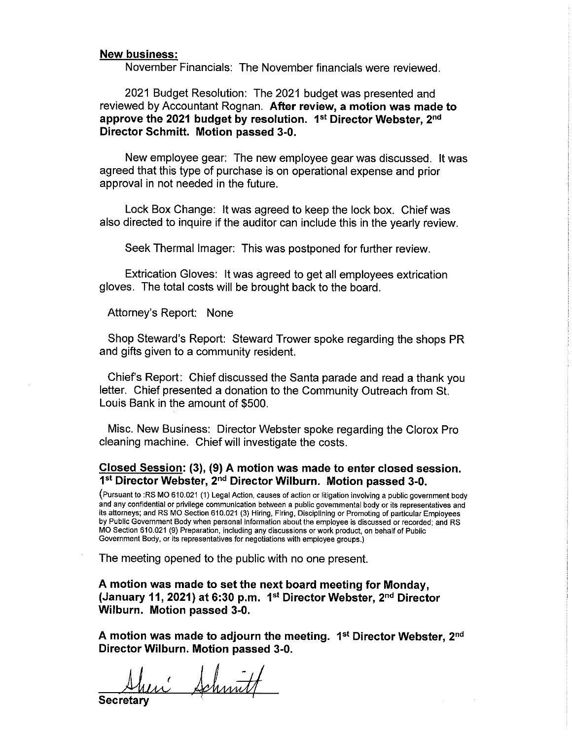#### **New business:**

November Financials: The November financials were reviewed.

2021 Budget Resolution: The 2021 budget was presented and reviewed by Accountant Rognan. After review, a motion was made to approve the 2021 budget by resolution. 1st Director Webster, 2nd Director Schmitt. Motion passed 3-0.

New employee gear: The new employee gear was discussed. It was agreed that this type of purchase is on operational expense and prior approval in not needed in the future.

Lock Box Change: It was agreed to keep the lock box. Chief was also directed to inquire if the auditor can include this in the vearly review.

Seek Thermal Imager: This was postponed for further review.

Extrication Gloves: It was agreed to get all employees extrication gloves. The total costs will be brought back to the board.

Attorney's Report: None

Shop Steward's Report: Steward Trower spoke regarding the shops PR and gifts given to a community resident.

Chief's Report: Chief discussed the Santa parade and read a thank you letter. Chief presented a donation to the Community Outreach from St. Louis Bank in the amount of \$500.

Misc. New Business: Director Webster spoke regarding the Clorox Pro cleaning machine. Chief will investigate the costs.

### Closed Session: (3), (9) A motion was made to enter closed session. 1st Director Webster, 2nd Director Wilburn. Motion passed 3-0.

(Pursuant to :RS MO 610.021 (1) Legal Action, causes of action or litigation involving a public government body and any confidential or privilege communication between a public governmental body or its representatives and its attorneys; and RS MO Section 610.021 (3) Hiring, Firing, Disciplining or Promoting of particular Employees by Public Government Body when personal information about the employee is discussed or recorded; and RS MO Section 610.021 (9) Preparation, including any discussions or work product, on behalf of Public Government Body, or its representatives for negotiations with employee groups.)

The meeting opened to the public with no one present.

A motion was made to set the next board meeting for Monday, (January 11, 2021) at 6:30 p.m. 1st Director Webster, 2nd Director Wilburn. Motion passed 3-0.

A motion was made to adjourn the meeting. 1<sup>st</sup> Director Webster, 2<sup>nd</sup> Director Wilburn. Motion passed 3-0.

si Schmitt

Secretary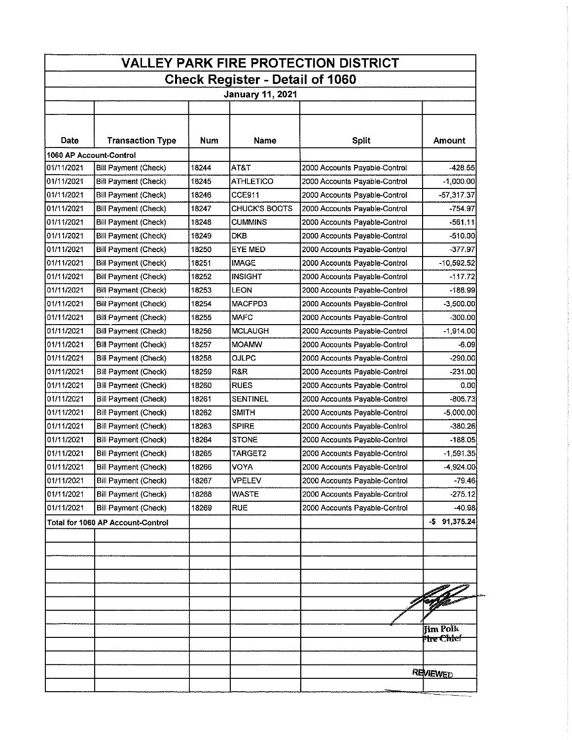| <b>VALLEY PARK FIRE PROTECTION DISTRICT</b> |                                   |       |                      |                               |                               |  |
|---------------------------------------------|-----------------------------------|-------|----------------------|-------------------------------|-------------------------------|--|
| <b>Check Register - Detail of 1060</b>      |                                   |       |                      |                               |                               |  |
| <b>January 11, 2021</b>                     |                                   |       |                      |                               |                               |  |
|                                             |                                   |       |                      |                               |                               |  |
|                                             |                                   |       |                      |                               |                               |  |
| Date                                        | <b>Transaction Type</b>           | Num   | Name                 | <b>Split</b>                  | Amount                        |  |
| 1060 AP Account-Control                     |                                   |       |                      |                               |                               |  |
| 01/11/2021                                  | Bill Payment (Check)              | 18244 | AT&T                 | 2000 Accounts Payable-Control | $-428.55$                     |  |
| 01/11/2021                                  | Bill Payment (Check)              | 18245 | <b>ATHLETICO</b>     | 2000 Accounts Payable-Control | $-1,000.00$                   |  |
| 01/11/2021                                  | Bill Payment (Check)              | 18246 | CCE911               | 2000 Accounts Payable-Control | $-57,317.37$                  |  |
| 01/11/2021                                  | Bill Payment (Check)              | 18247 | <b>CHUCK'S BOOTS</b> | 2000 Accounts Payable-Control | $-754.97$                     |  |
| 01/11/2021                                  | <b>Bill Payment (Check)</b>       | 18248 | CUMMINS              | 2000 Accounts Payable-Control | $-561.11$                     |  |
| 01/11/2021                                  | Bill Payment (Check)              | 18249 | <b>DKB</b>           | 2000 Accounts Payable-Control | $-510.00$                     |  |
| 01/11/2021                                  | Bill Payment (Check)              | 18250 | EYE MED              | 2000 Accounts Payable-Control | $-377.97$                     |  |
| 01/11/2021                                  | Bill Payment (Check)              | 18251 | <b>IMAGE</b>         | 2000 Accounts Payable-Control | $-10,592.52$                  |  |
| 01/11/2021                                  | Bill Payment (Check)              | 18252 | <b>INSIGHT</b>       | 2000 Accounts Payable-Control | $-117.72$                     |  |
| 01/11/2021                                  | <b>Bill Payment (Check)</b>       | 18253 | LEON                 | 2000 Accounts Payable-Control | -188.99                       |  |
| 01/11/2021                                  | Bill Payment (Check)              | 18254 | MACFPD3              | 2000 Accounts Payable-Control | $-3,500.00$                   |  |
| 01/11/2021                                  | Bill Payment (Check)              | 18255 | <b>MAFC</b>          | 2000 Accounts Payable-Control | $-300.00$                     |  |
| 01/11/2021                                  | <b>Bill Payment (Check)</b>       | 18256 | <b>MCLAUGH</b>       | 2000 Accounts Payable-Control | $-1,914.00$                   |  |
| 01/11/2021                                  | Bill Payment (Check)              | 18257 | <b>MOAMW</b>         | 2000 Accounts Payable-Control | -6.09                         |  |
| 01/11/2021                                  | <b>Bill Payment (Check)</b>       | 18258 | OJLPC                | 2000 Accounts Payable-Control | $-290.00$                     |  |
| 01/11/2021                                  | Bill Payment (Check)              | 18259 | R&R                  | 2000 Accounts Payable-Control | -231.00                       |  |
| 01/11/2021                                  | <b>Bill Payment (Check)</b>       | 18260 | <b>RUES</b>          | 2000 Accounts Payable-Control | 0.00                          |  |
| 01/11/2021                                  | Bill Payment (Check)              | 18261 | SENTINEL             | 2000 Accounts Payable-Control | $-805.73$                     |  |
| 01/11/2021                                  | Bill Payment (Check)              | 18262 | <b>SMITH</b>         | 2000 Accounts Payable-Control | $-5,000,00$                   |  |
| 01/11/2021                                  | Bill Payment (Check)              | 18263 | <b>SPIRE</b>         | 2000 Accounts Payable-Control | $-380.26$                     |  |
| 01/11/2021                                  | Bill Payment (Check)              | 18264 | <b>STONE</b>         | 2000 Accounts Payable-Control | $-188.05$                     |  |
| 01/11/2021                                  | Bill Payment (Check)              | 18265 | TARGET2              | 2000 Accounts Payable-Control | $-1,591.35$                   |  |
| 01/11/2021                                  | Bill Payment (Check)              | 18266 | VOYA                 | 2000 Accounts Payable-Control | $-4,924.00$                   |  |
| 01/11/2021                                  | Bill Payment (Check)              | 18267 | VPELEV               | 2000 Accounts Payable-Control | $-79.46$                      |  |
| 01/11/2021                                  | <b>Bill Payment (Check)</b>       | 18268 | <b>WASTE</b>         | 2000 Accounts Payable-Control | $-275.12$                     |  |
| 01/11/2021                                  | Bill Payment (Check)              | 18269 | <b>RUE</b>           | 2000 Accounts Payable-Control | $-40.98$                      |  |
|                                             | Total for 1060 AP Account-Control |       |                      |                               | $-$ \$ 91,375.24              |  |
|                                             |                                   |       | $\epsilon$           |                               |                               |  |
|                                             |                                   |       |                      |                               |                               |  |
|                                             |                                   |       |                      |                               |                               |  |
|                                             |                                   |       |                      |                               |                               |  |
|                                             |                                   |       |                      |                               |                               |  |
|                                             |                                   |       |                      |                               |                               |  |
|                                             |                                   |       |                      |                               |                               |  |
|                                             |                                   |       |                      |                               | <b>Jim Polk</b><br>fire Chief |  |
|                                             |                                   |       |                      |                               |                               |  |
|                                             |                                   |       |                      |                               |                               |  |
|                                             |                                   |       |                      |                               | REVIEWED                      |  |
|                                             |                                   |       |                      |                               |                               |  |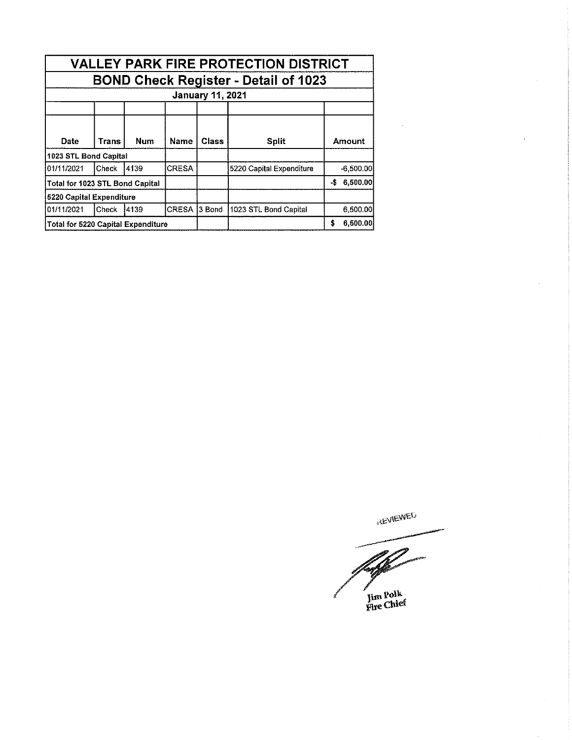| <b>VALLEY PARK FIRE PROTECTION DISTRICT</b> |       |            |              |              |                          |             |
|---------------------------------------------|-------|------------|--------------|--------------|--------------------------|-------------|
| <b>BOND Check Register - Detail of 1023</b> |       |            |              |              |                          |             |
| <b>January 11, 2021</b>                     |       |            |              |              |                          |             |
|                                             |       |            |              |              |                          |             |
| Date                                        | Trans | <b>Num</b> | Name         | <b>Class</b> | <b>Split</b>             | Amount      |
| 1023 STL Bond Capital                       |       |            |              |              |                          |             |
| 01/11/2021                                  | Check | 4139       | <b>CRESA</b> |              | 5220 Capital Expenditure | $-6,500.00$ |
| Total for 1023 STL Bond Capital             |       |            |              |              | -\$<br>6,500.00          |             |
| 5220 Capital Expenditure                    |       |            |              |              |                          |             |
| 101/11/2021                                 | Check | 4139       | <b>CRESA</b> | 13 Bond      | 1023 STL Bond Capital    | 6,500.00    |
| Total for 5220 Capital Expenditure          |       |            |              |              | 6,500.00<br>\$           |             |

**REVIEWED** 

Á Jim Polk<br>Fire Chief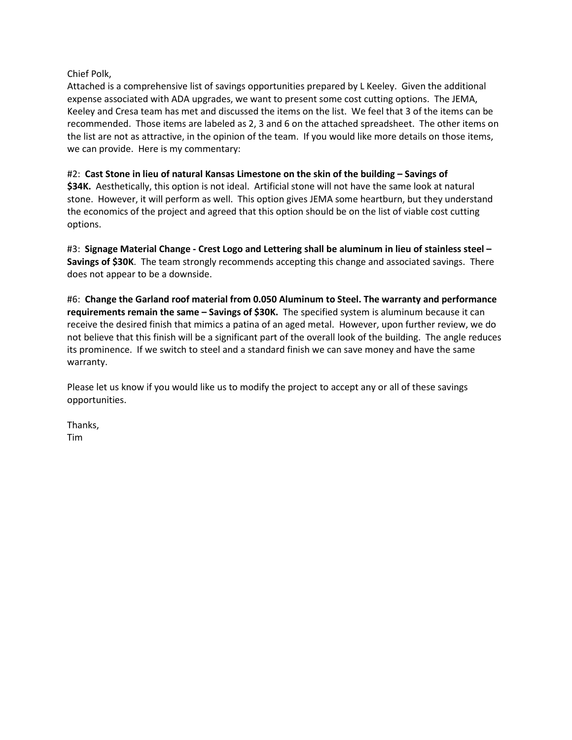### Chief Polk,

Attached is a comprehensive list of savings opportunities prepared by L Keeley. Given the additional expense associated with ADA upgrades, we want to present some cost cutting options. The JEMA, Keeley and Cresa team has met and discussed the items on the list. We feel that 3 of the items can be recommended. Those items are labeled as 2, 3 and 6 on the attached spreadsheet. The other items on the list are not as attractive, in the opinion of the team. If you would like more details on those items, we can provide. Here is my commentary:

#### #2: **Cast Stone in lieu of natural Kansas Limestone on the skin of the building – Savings of**

**\$34K.** Aesthetically, this option is not ideal. Artificial stone will not have the same look at natural stone. However, it will perform as well. This option gives JEMA some heartburn, but they understand the economics of the project and agreed that this option should be on the list of viable cost cutting options.

#3: **Signage Material Change - Crest Logo and Lettering shall be aluminum in lieu of stainless steel – Savings of \$30K**. The team strongly recommends accepting this change and associated savings. There does not appear to be a downside.

#6: **Change the Garland roof material from 0.050 Aluminum to Steel. The warranty and performance requirements remain the same – Savings of \$30K.** The specified system is aluminum because it can receive the desired finish that mimics a patina of an aged metal. However, upon further review, we do not believe that this finish will be a significant part of the overall look of the building. The angle reduces its prominence. If we switch to steel and a standard finish we can save money and have the same warranty.

Please let us know if you would like us to modify the project to accept any or all of these savings opportunities.

Thanks, Tim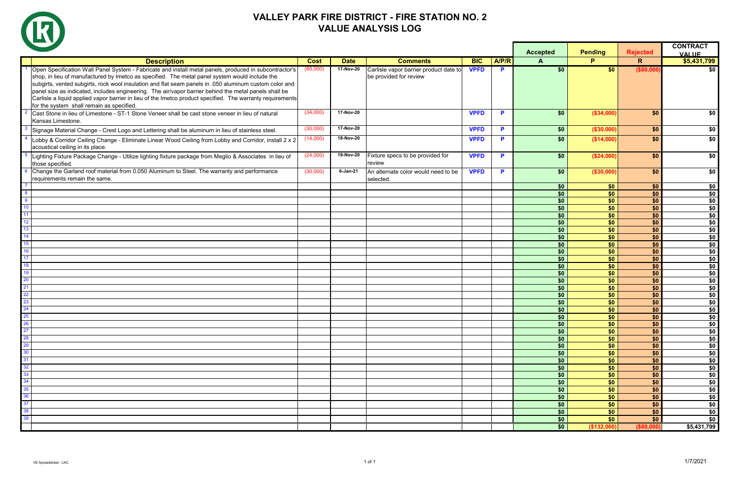|                       |                                                                                                                                                                                                                                                                                                                                                                                                                                                                                                                                                                                        |             |             |                                                                  |             |              | <b>Accepted</b> | <b>Pending</b>         | <b>Rejected</b>        | <b>CONTRACT</b><br><b>VALUE</b> |
|-----------------------|----------------------------------------------------------------------------------------------------------------------------------------------------------------------------------------------------------------------------------------------------------------------------------------------------------------------------------------------------------------------------------------------------------------------------------------------------------------------------------------------------------------------------------------------------------------------------------------|-------------|-------------|------------------------------------------------------------------|-------------|--------------|-----------------|------------------------|------------------------|---------------------------------|
|                       | <b>Description</b>                                                                                                                                                                                                                                                                                                                                                                                                                                                                                                                                                                     | <b>Cost</b> | <b>Date</b> | <b>Comments</b>                                                  | <b>BIC</b>  | <b>A/P/R</b> | A               | P.                     | $\mathsf{R}$           | \$5,431,799                     |
|                       | Open Specification Wall Panel System - Fabricate and install metal panels, produced in subcontractor's<br>shop, in lieu of manufactured by Imetco as specified. The metal panel system would include the<br>subgirts, vented subgirts, rock wool insulation and flat seam panels in .050 aluminum custom color and<br>panel size as indicated, includes engineering. The air/vapor barrier behind the metal panels shall be<br>Carlisle a liquid applied vapor barrier in lieu of the Imetco product specified. The warranty requirements<br>for the system shall remain as specified. | (80,000)    | 17-Nov-20   | Carlisle vapor barrier product date to<br>be provided for review | <b>VPFD</b> | P            | $\overline{50}$ | \$0                    | (\$80,000              | \$0                             |
|                       | Cast Stone in lieu of Limestone - ST-1 Stone Veneer shall be cast stone veneer in lieu of natural<br>Kansas Limestone.                                                                                                                                                                                                                                                                                                                                                                                                                                                                 | (34,000)    | 17-Nov-20   |                                                                  | <b>VPFD</b> | P            | \$0             | ( \$34,000)            | \$0                    | \$0                             |
|                       | Signage Material Change - Crest Logo and Lettering shall be aluminum in lieu of stainless steel.                                                                                                                                                                                                                                                                                                                                                                                                                                                                                       | (30,000)    | 17-Nov-20   |                                                                  | <b>VPFD</b> | <b>D</b>     | \$0             | ( \$30,000)            | \$0                    | \$0                             |
|                       | Lobby & Corridor Ceiling Change - Eliminate Linear Wood Ceiling from Lobby and Corridor, install 2 x 2<br>acoustical ceiling in its place.                                                                                                                                                                                                                                                                                                                                                                                                                                             | (14,000)    | 18-Nov-20   |                                                                  | <b>VPFD</b> | P            | \$0             | (\$14,000)             | \$0                    | \$0                             |
|                       | Lighting Fixture Package Change - Utilize lighting fixture package from Meglio & Associates in lieu of<br>those specified.                                                                                                                                                                                                                                                                                                                                                                                                                                                             | (24,000)    | 19-Nov-20   | Fixture specs to be provided for<br>review                       | <b>VPFD</b> | P            | \$0             | (\$24,000)             | \$0                    | \$0                             |
| 6                     | Change the Garland roof material from 0.050 Aluminum to Steel. The warranty and performance<br>requirements remain the same.                                                                                                                                                                                                                                                                                                                                                                                                                                                           | (30,000)    | 6-Jan-21    | An alternate color would need to be<br>selected.                 | <b>VPFD</b> | P            | \$0             | ( \$30,000)            | \$0                    | \$0                             |
|                       |                                                                                                                                                                                                                                                                                                                                                                                                                                                                                                                                                                                        |             |             |                                                                  |             |              | \$0             | \$0                    | \$0                    | \$0                             |
| -9                    |                                                                                                                                                                                                                                                                                                                                                                                                                                                                                                                                                                                        |             |             |                                                                  |             |              | \$0<br>\$0      | $\overline{50}$<br>\$0 | $\overline{50}$<br>\$0 | \$0<br>\$0                      |
| 10                    |                                                                                                                                                                                                                                                                                                                                                                                                                                                                                                                                                                                        |             |             |                                                                  |             |              | \$0             | \$0                    | $\overline{50}$        | \$0                             |
| $\mathbf{1}^{\prime}$ |                                                                                                                                                                                                                                                                                                                                                                                                                                                                                                                                                                                        |             |             |                                                                  |             |              | \$0             | \$0                    | \$0                    | \$0                             |
| 12                    |                                                                                                                                                                                                                                                                                                                                                                                                                                                                                                                                                                                        |             |             |                                                                  |             |              | $\overline{50}$ | $\overline{50}$        | $\overline{50}$        | \$0                             |
| 13                    |                                                                                                                                                                                                                                                                                                                                                                                                                                                                                                                                                                                        |             |             |                                                                  |             |              | \$0             | \$0                    | \$0                    | \$0                             |
| 14                    |                                                                                                                                                                                                                                                                                                                                                                                                                                                                                                                                                                                        |             |             |                                                                  |             |              | \$0             | $\overline{50}$        | $\overline{50}$        | \$0                             |
| 15                    |                                                                                                                                                                                                                                                                                                                                                                                                                                                                                                                                                                                        |             |             |                                                                  |             |              | \$0             | \$0                    | \$0                    | \$0                             |
| 16                    |                                                                                                                                                                                                                                                                                                                                                                                                                                                                                                                                                                                        |             |             |                                                                  |             |              | \$0             | \$0                    | \$0                    | \$0                             |
| $\overline{1}$        |                                                                                                                                                                                                                                                                                                                                                                                                                                                                                                                                                                                        |             |             |                                                                  |             |              | \$0             | \$0                    | $\overline{50}$        | \$0                             |
| 18                    |                                                                                                                                                                                                                                                                                                                                                                                                                                                                                                                                                                                        |             |             |                                                                  |             |              | \$0             | \$0                    | \$0                    | \$0                             |
| 19                    |                                                                                                                                                                                                                                                                                                                                                                                                                                                                                                                                                                                        |             |             |                                                                  |             |              | \$0             | $\overline{50}$        | $\overline{50}$        | \$0                             |
| <b>20</b>             |                                                                                                                                                                                                                                                                                                                                                                                                                                                                                                                                                                                        |             |             |                                                                  |             |              | \$0             | \$0                    | \$0                    | \$0                             |
| 21                    |                                                                                                                                                                                                                                                                                                                                                                                                                                                                                                                                                                                        |             |             |                                                                  |             |              | \$0             | \$0                    | $\overline{50}$        | \$0                             |
| 22                    |                                                                                                                                                                                                                                                                                                                                                                                                                                                                                                                                                                                        |             |             |                                                                  |             |              | \$0             | \$0                    | \$0                    | \$0                             |
| 23                    |                                                                                                                                                                                                                                                                                                                                                                                                                                                                                                                                                                                        |             |             |                                                                  |             |              | \$0             | \$0                    | \$0                    | \$0                             |
| 24                    |                                                                                                                                                                                                                                                                                                                                                                                                                                                                                                                                                                                        |             |             |                                                                  |             |              | \$0             | \$0                    | \$0                    | \$0                             |
| 25<br><b>26</b>       |                                                                                                                                                                                                                                                                                                                                                                                                                                                                                                                                                                                        |             |             |                                                                  |             |              | \$0<br>\$0      | \$0<br>\$0             | \$0<br>$\overline{50}$ | \$0<br>\$0                      |
| <b>27</b>             |                                                                                                                                                                                                                                                                                                                                                                                                                                                                                                                                                                                        |             |             |                                                                  |             |              | \$0             | \$0                    | \$0                    | \$0                             |
| 28                    |                                                                                                                                                                                                                                                                                                                                                                                                                                                                                                                                                                                        |             |             |                                                                  |             |              | \$0             | \$0                    | \$0                    | \$0                             |
| 29                    |                                                                                                                                                                                                                                                                                                                                                                                                                                                                                                                                                                                        |             |             |                                                                  |             |              | \$0             | \$0                    | \$0                    | \$0                             |
| 30                    |                                                                                                                                                                                                                                                                                                                                                                                                                                                                                                                                                                                        |             |             |                                                                  |             |              | \$0             | \$0                    | \$0                    | \$0                             |
| 31                    |                                                                                                                                                                                                                                                                                                                                                                                                                                                                                                                                                                                        |             |             |                                                                  |             |              | \$0             | \$0                    | \$0                    | \$0                             |
| 32                    |                                                                                                                                                                                                                                                                                                                                                                                                                                                                                                                                                                                        |             |             |                                                                  |             |              | \$0             | \$0                    | \$0                    | $\sqrt{6}$                      |
| 33                    |                                                                                                                                                                                                                                                                                                                                                                                                                                                                                                                                                                                        |             |             |                                                                  |             |              | \$0             | \$0                    | \$0                    | \$0                             |
| 34                    |                                                                                                                                                                                                                                                                                                                                                                                                                                                                                                                                                                                        |             |             |                                                                  |             |              | \$0             | \$0                    | \$0                    | \$0                             |
| 35                    |                                                                                                                                                                                                                                                                                                                                                                                                                                                                                                                                                                                        |             |             |                                                                  |             |              | \$0             | \$0                    | \$0                    | \$0                             |
| 36                    |                                                                                                                                                                                                                                                                                                                                                                                                                                                                                                                                                                                        |             |             |                                                                  |             |              | \$0             | \$0                    | \$0                    | \$0                             |
| 37                    |                                                                                                                                                                                                                                                                                                                                                                                                                                                                                                                                                                                        |             |             |                                                                  |             |              | \$0             | \$0                    | \$0                    | \$0                             |
| 38                    |                                                                                                                                                                                                                                                                                                                                                                                                                                                                                                                                                                                        |             |             |                                                                  |             |              | \$0             | \$0                    | \$0                    | \$0                             |
| 39                    |                                                                                                                                                                                                                                                                                                                                                                                                                                                                                                                                                                                        |             |             |                                                                  |             |              | \$0             | \$0                    | \$0                    | \$0                             |
|                       |                                                                                                                                                                                                                                                                                                                                                                                                                                                                                                                                                                                        |             |             |                                                                  |             |              | \$0             | (\$132,000             | (\$80,000              | \$5,431,799                     |



# **VALLEY PARK FIRE DISTRICT - FIRE STATION NO. 2 VALUE ANALYSIS LOG**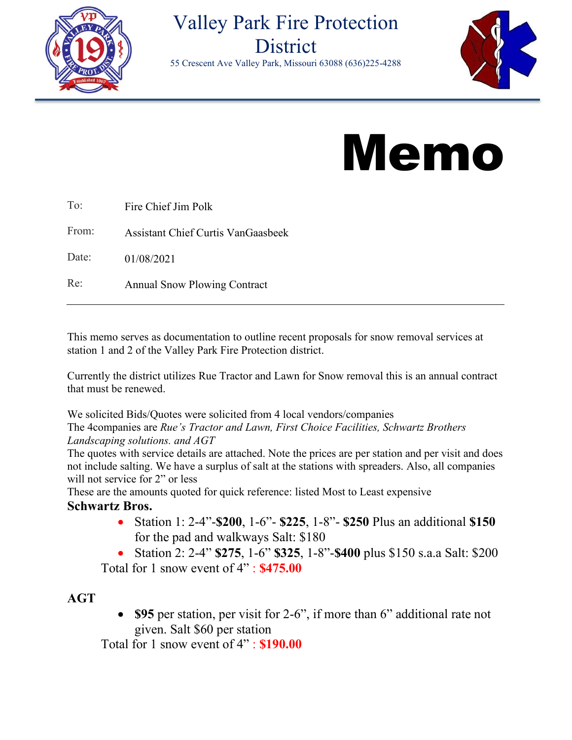

# Valley Park Fire Protection **District**

55 Crescent Ave Valley Park, Missouri 63088 (636)225-4288



# Memo

| To:   | Fire Chief Jim Polk                 |
|-------|-------------------------------------|
| From: | Assistant Chief Curtis VanGaasbeek  |
| Date: | 01/08/2021                          |
| Re:   | <b>Annual Snow Plowing Contract</b> |

This memo serves as documentation to outline recent proposals for snow removal services at station 1 and 2 of the Valley Park Fire Protection district.

Currently the district utilizes Rue Tractor and Lawn for Snow removal this is an annual contract that must be renewed.

We solicited Bids/Quotes were solicited from 4 local vendors/companies

The 4companies are *Rue's Tractor and Lawn, First Choice Facilities, Schwartz Brothers Landscaping solutions. and AGT*

The quotes with service details are attached. Note the prices are per station and per visit and does not include salting. We have a surplus of salt at the stations with spreaders. Also, all companies will not service for 2" or less

These are the amounts quoted for quick reference: listed Most to Least expensive

## **Schwartz Bros.**

- Station 1: 2-4"-**\$200**, 1-6"- **\$225**, 1-8"- **\$250** Plus an additional **\$150** for the pad and walkways Salt: \$180
- Station 2: 2-4" **\$275**, 1-6" **\$325**, 1-8"-**\$400** plus \$150 s.a.a Salt: \$200 Total for 1 snow event of 4" : **\$475.00**

## **AGT**

• **\$95** per station, per visit for 2-6", if more than 6" additional rate not given. Salt \$60 per station

Total for 1 snow event of 4" : **\$190.00**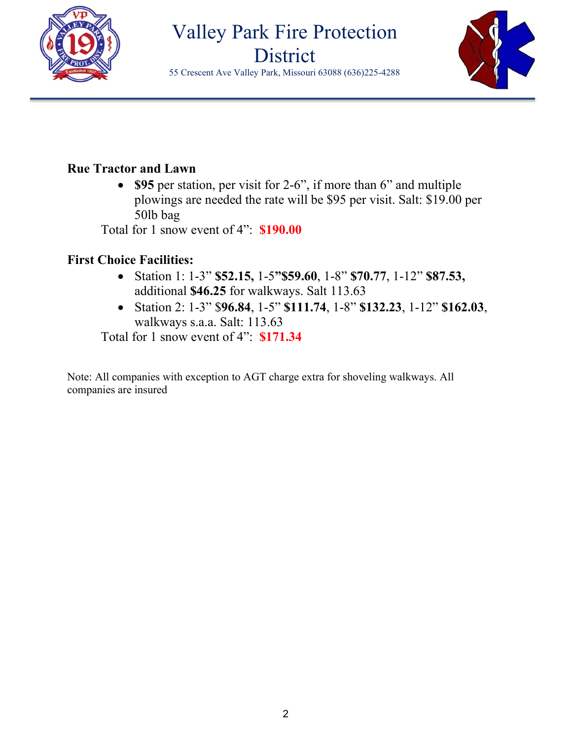

# Valley Park Fire Protection **District**

55 Crescent Ave Valley Park, Missouri 63088 (636)225-4288



## **Rue Tractor and Lawn**

• **\$95** per station, per visit for 2-6", if more than 6" and multiple plowings are needed the rate will be \$95 per visit. Salt: \$19.00 per 50lb bag

Total for 1 snow event of 4": **\$190.00**

# **First Choice Facilities:**

- Station 1: 1-3" **\$52.15,** 1-5**"\$59.60**, 1-8" **\$70.77**, 1-12" **\$87.53,**  additional **\$46.25** for walkways. Salt 113.63
- Station 2: 1-3" \$**96.84**, 1-5" **\$111.74**, 1-8" **\$132.23**, 1-12" **\$162.03**, walkways s.a.a. Salt: 113.63

Total for 1 snow event of 4": **\$171.34**

Note: All companies with exception to AGT charge extra for shoveling walkways. All companies are insured